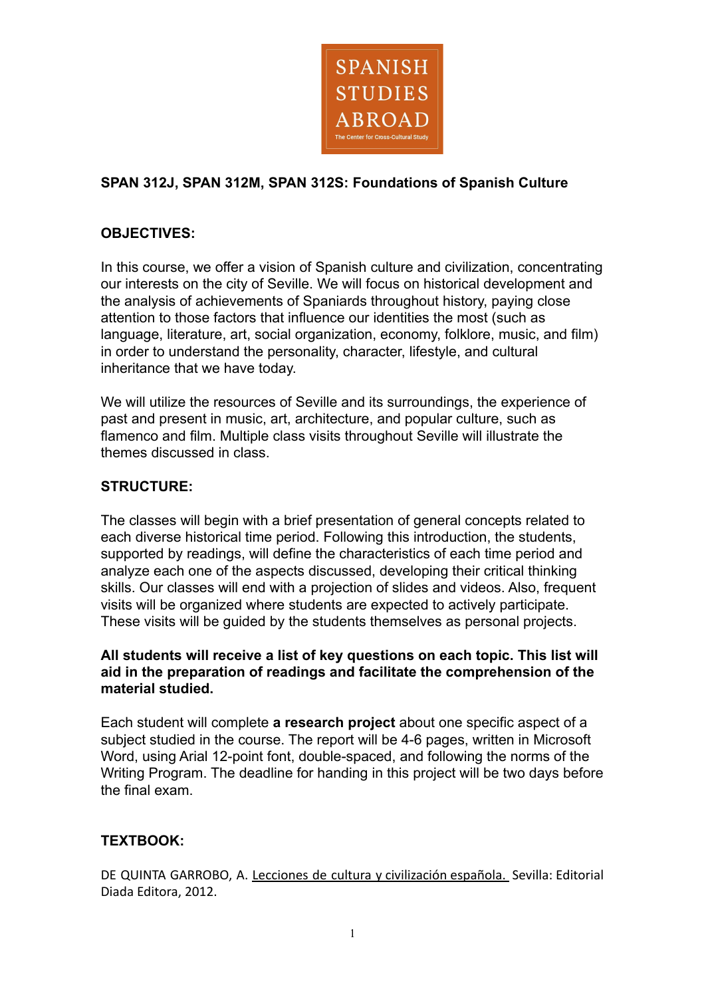

# **SPAN 312J, SPAN 312M, SPAN 312S: Foundations of Spanish Culture**

## **OBJECTIVES:**

In this course, we offer a vision of Spanish culture and civilization, concentrating our interests on the city of Seville. We will focus on historical development and the analysis of achievements of Spaniards throughout history, paying close attention to those factors that influence our identities the most (such as language, literature, art, social organization, economy, folklore, music, and film) in order to understand the personality, character, lifestyle, and cultural inheritance that we have today.

We will utilize the resources of Seville and its surroundings, the experience of past and present in music, art, architecture, and popular culture, such as flamenco and film. Multiple class visits throughout Seville will illustrate the themes discussed in class.

### **STRUCTURE:**

The classes will begin with a brief presentation of general concepts related to each diverse historical time period. Following this introduction, the students, supported by readings, will define the characteristics of each time period and analyze each one of the aspects discussed, developing their critical thinking skills. Our classes will end with a projection of slides and videos. Also, frequent visits will be organized where students are expected to actively participate. These visits will be guided by the students themselves as personal projects.

## **All students will receive a list of key questions on each topic. This list will aid in the preparation of readings and facilitate the comprehension of the material studied.**

Each student will complete **a research project** about one specific aspect of a subject studied in the course. The report will be 4-6 pages, written in Microsoft Word, using Arial 12-point font, double-spaced, and following the norms of the Writing Program. The deadline for handing in this project will be two days before the final exam.

### **TEXTBOOK:**

DE QUINTA GARROBO, A. Lecciones de cultura y civilización española. Sevilla: Editorial Diada Editora, 2012.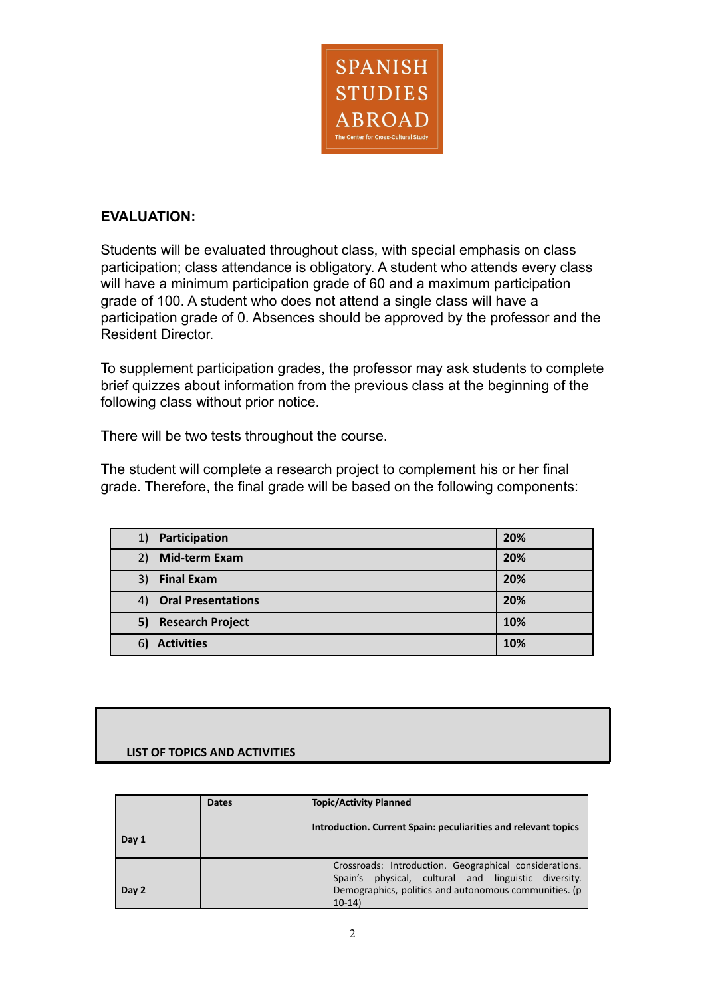

## **EVALUATION:**

Students will be evaluated throughout class, with special emphasis on class participation; class attendance is obligatory. A student who attends every class will have a minimum participation grade of 60 and a maximum participation grade of 100. A student who does not attend a single class will have a participation grade of 0. Absences should be approved by the professor and the Resident Director.

To supplement participation grades, the professor may ask students to complete brief quizzes about information from the previous class at the beginning of the following class without prior notice.

There will be two tests throughout the course.

The student will complete a research project to complement his or her final grade. Therefore, the final grade will be based on the following components:

| 1) Participation      | 20% |
|-----------------------|-----|
| Mid-term Exam<br>2)   | 20% |
| 3) Final Exam         | 20% |
| 4) Oral Presentations | 20% |
| 5) Research Project   | 10% |
| <b>Activities</b>     | 10% |

### **LIST OF TOPICS AND ACTIVITIES**

|       | <b>Dates</b> | <b>Topic/Activity Planned</b>                                                                                                                                                          |
|-------|--------------|----------------------------------------------------------------------------------------------------------------------------------------------------------------------------------------|
| Day 1 |              | Introduction. Current Spain: peculiarities and relevant topics                                                                                                                         |
| Day 2 |              | Crossroads: Introduction. Geographical considerations.<br>physical, cultural and linguistic diversity.<br>Spain's<br>Demographics, politics and autonomous communities. (p<br>$10-14)$ |